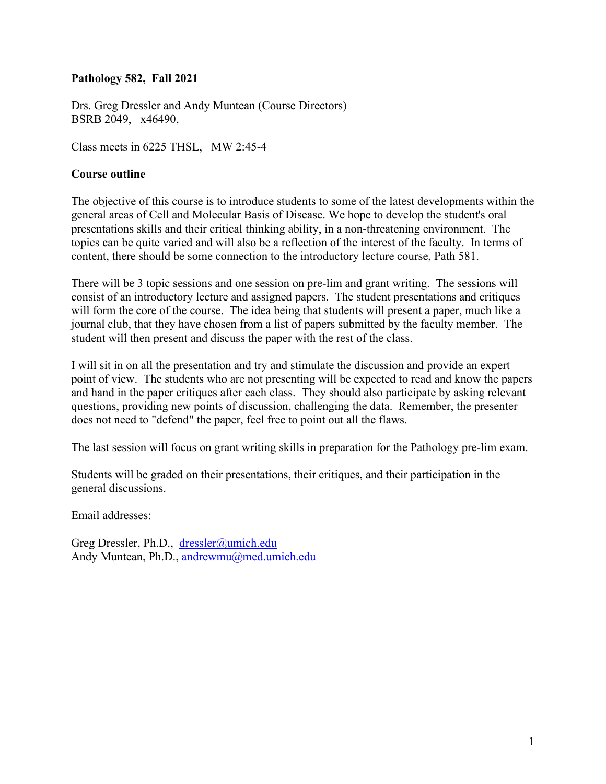# **Pathology 582, Fall 2021**

Drs. Greg Dressler and Andy Muntean (Course Directors) BSRB 2049, x46490,

Class meets in 6225 THSL, MW 2:45-4

# **Course outline**

The objective of this course is to introduce students to some of the latest developments within the general areas of Cell and Molecular Basis of Disease. We hope to develop the student's oral presentations skills and their critical thinking ability, in a non-threatening environment. The topics can be quite varied and will also be a reflection of the interest of the faculty. In terms of content, there should be some connection to the introductory lecture course, Path 581.

There will be 3 topic sessions and one session on pre-lim and grant writing. The sessions will consist of an introductory lecture and assigned papers. The student presentations and critiques will form the core of the course. The idea being that students will present a paper, much like a journal club, that they have chosen from a list of papers submitted by the faculty member. The student will then present and discuss the paper with the rest of the class.

I will sit in on all the presentation and try and stimulate the discussion and provide an expert point of view. The students who are not presenting will be expected to read and know the papers and hand in the paper critiques after each class. They should also participate by asking relevant questions, providing new points of discussion, challenging the data. Remember, the presenter does not need to "defend" the paper, feel free to point out all the flaws.

The last session will focus on grant writing skills in preparation for the Pathology pre-lim exam.

Students will be graded on their presentations, their critiques, and their participation in the general discussions.

Email addresses:

Greg Dressler, Ph.D., [dressler@umich.edu](mailto:dressler@umich.edu) Andy Muntean, Ph.D., [andrewmu@med.umich.edu](mailto:andrewmu@med.umich.edu)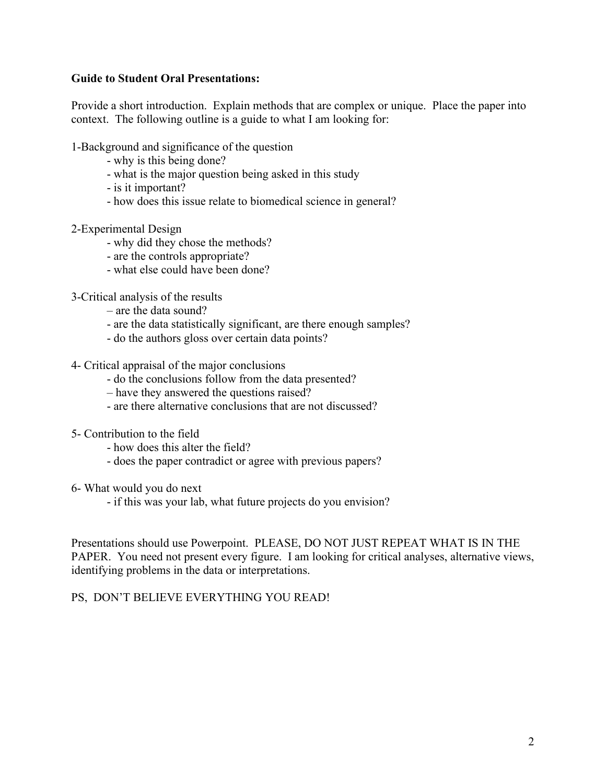# **Guide to Student Oral Presentations:**

Provide a short introduction. Explain methods that are complex or unique. Place the paper into context. The following outline is a guide to what I am looking for:

1-Background and significance of the question

- why is this being done?
- what is the major question being asked in this study
- is it important?
- how does this issue relate to biomedical science in general?
- 2-Experimental Design
	- why did they chose the methods?
	- are the controls appropriate?
	- what else could have been done?

3-Critical analysis of the results

- are the data sound?
- are the data statistically significant, are there enough samples?
- do the authors gloss over certain data points?
- 4- Critical appraisal of the major conclusions
	- do the conclusions follow from the data presented?
	- have they answered the questions raised?
	- are there alternative conclusions that are not discussed?
- 5- Contribution to the field
	- how does this alter the field?
	- does the paper contradict or agree with previous papers?
- 6- What would you do next
	- if this was your lab, what future projects do you envision?

Presentations should use Powerpoint. PLEASE, DO NOT JUST REPEAT WHAT IS IN THE PAPER. You need not present every figure. I am looking for critical analyses, alternative views, identifying problems in the data or interpretations.

## PS, DON'T BELIEVE EVERYTHING YOU READ!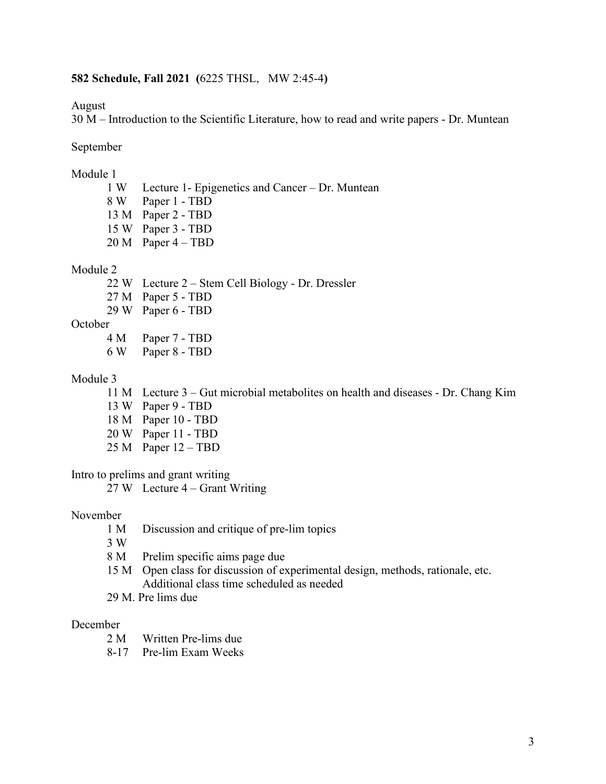## **582 Schedule, Fall 2021 (**6225 THSL, MW 2:45-4**)**

August

30 M – Introduction to the Scientific Literature, how to read and write papers - Dr. Muntean

September

## Module 1

- 1 W Lecture 1- Epigenetics and Cancer Dr. Muntean 8 W Paper 1 - TBD
- 13 M Paper 2 TBD
- 15 W Paper 3 TBD
- 20 M Paper 4 TBD

#### Module 2

- 22 W Lecture 2 Stem Cell Biology Dr. Dressler
- 27 M Paper 5 TBD
- 29 W Paper 6 TBD
- **October** 
	- 4 M Paper 7 TBD
	- 6 W Paper 8 TBD

## Module 3

- 11 M Lecture 3 Gut microbial metabolites on health and diseases Dr. Chang Kim
- 13 W Paper 9 TBD
- 18 M Paper 10 TBD
- 20 W Paper 11 TBD
- 25 M Paper 12 TBD

Intro to prelims and grant writing

27 W Lecture 4 – Grant Writing

#### November

- 1 M Discussion and critique of pre-lim topics
- 3 W
- 8 M Prelim specific aims page due
- 15 M Open class for discussion of experimental design, methods, rationale, etc. Additional class time scheduled as needed
- 29 M. Pre lims due

## December

- 2 M Written Pre-lims due
- 8-17 Pre-lim Exam Weeks